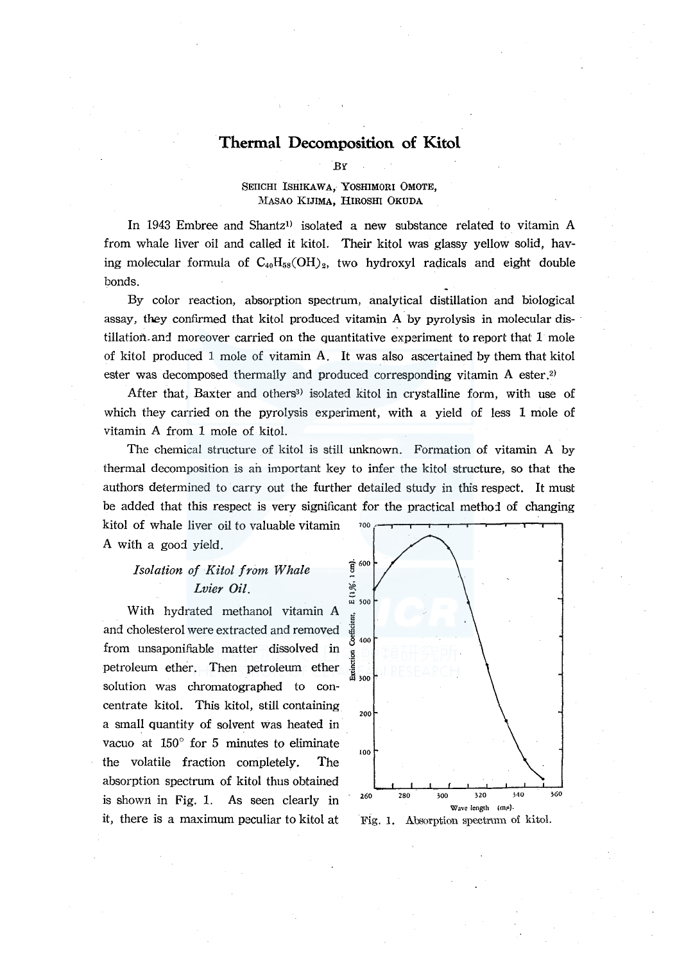# **Thermal Decomposition of Kitol**

BY

# SEIICHI ISHIKAWA, YOSHIMORI OMOTE, MASAO KIJIMA, HIROSHI OKUDA

In 1943 Embree and Shantz<sup>1)</sup> isolated a new substance related to vitamin A from whale liver oil and called it kitol. Their kitol was glassy yellow solid, having molecular formula of  $C_{40}H_{58}(OH)_2$ , two hydroxyl radicals and eight double bonds.

By color reaction, absorption spectrum, analytical distillation and biological assay, they confirmed that kitol produced vitamin A by pyrolysis in molecular dis- · tillation.and moreover carried on the quantitative experiment to report that 1 mole of kitol produced l mole of vitamin A. It was also ascertained by them that kitol ester was decomposed thermally and produced corresponding vitamin A ester.<sup>2)</sup>

After that, Baxter and others<sup>3)</sup> isolated kitol in crystalline form, with use of which they carried on the pyrolysis experiment, with a yield of less 1 mole of vitamin A from 1 mole of kitol.

The chemical structure of kitol is still unknown. Formation of vitamin A by thermal decomposition is an important key to infer the kitol structure, so that the authors determined to carry out the further detailed study in this respect. It must be added that this respect is very significant for the practical method of changing

kitol of whale liver oil to valuable vitamin A with a good yield.

# *Isolation of Kitol from Whale*  $\frac{1}{2}$ <sup>600</sup> *Lvier Oil.* <sup>~</sup>

With hydrated methanol vitamin A and cholesterol were extracted and removed  $\frac{1}{8}$ from unsaponifiable matter dissolved in petroleum ether. Then petroleum ether solution was chromatographed to concentrate kitol. This kitol, still containing a small quantity of solvent was heated in vacuo at 150° for 5 minutes to eliminate the volatile fraction completely. The absorption spectrum of kitol thus obtained is shown in Fig. 1. As seen clearly in it, there is a maximum peculiar to kitol at Fig. 1. Absorption spectrum of kitol.



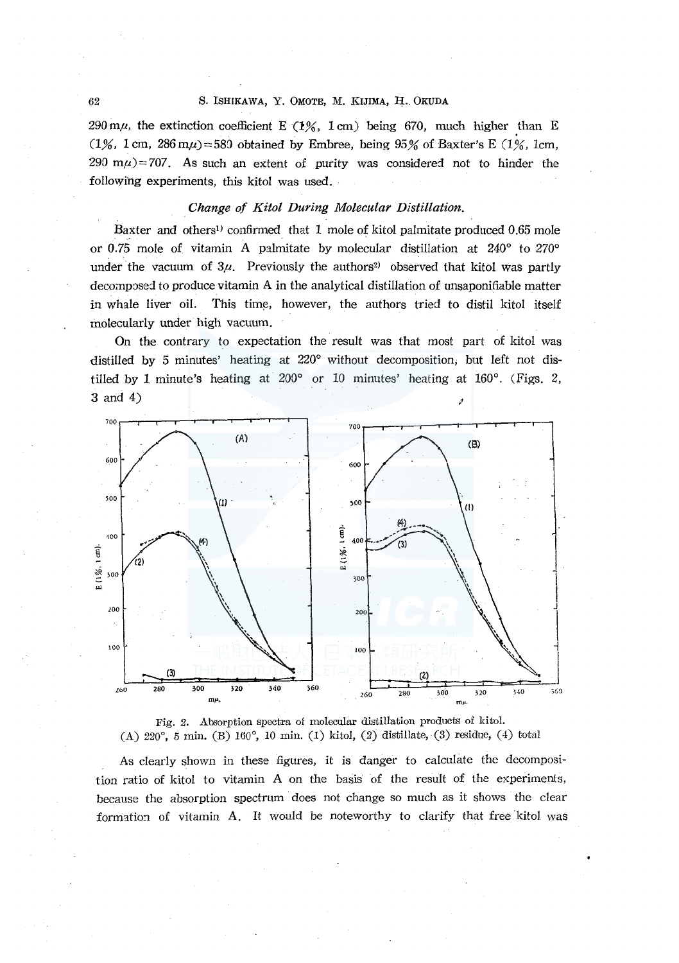# 62 S. ISHIKAWA, Y. OMOTE, M. KIJIMA, H. OKUDA

290 m $\mu$ , the extinction coefficient E (1%, 1 cm) being 670, much higher than E (1%, 1 cm, 286 m $\mu$ )=589 obtained by Embree, being 95% of Baxter's E (1%, 1 cm,  $290 \text{ m}\mu$ ) = 707. As such an extent of purity was considered not to hinder the following experiments, this kitol was used.

## *Change of Kitol During Molecular Distillation.*

Baxter and others<sup>1)</sup> confirmed that 1 mole of kitol palmitate produced 0.65 mole or 0.75 mole of vitamin A palmitate by molecular distillation at 240° to 270° under the vacuum of  $3\mu$ . Previously the authors<sup>2)</sup> observed that kitol was partly decomposed to produce vitamin A in the analytical distillation of unsaponifiable matter in whale liver oil. This time, however, the authors tried to distil kitol itself molecularly under high vacuum.

On the contrary to expectation the result was that most part of kitol was distilled by 5 minutes' heating at 220° without decomposition; but left not distilled by 1 minute's heating at 200° or 10 minutes' heating at 160°. (Figs. 2, **3** and 4) *<i>a* 





As clearly shown in these figures, it is danger to calculate the decomposition ratio of kitol to vitamin A on the basis of the result of the experiments, because the absorption spectrum does not change so much as it shows the clear formation of vitamin A. It would be noteworthy to clarify that free kitol was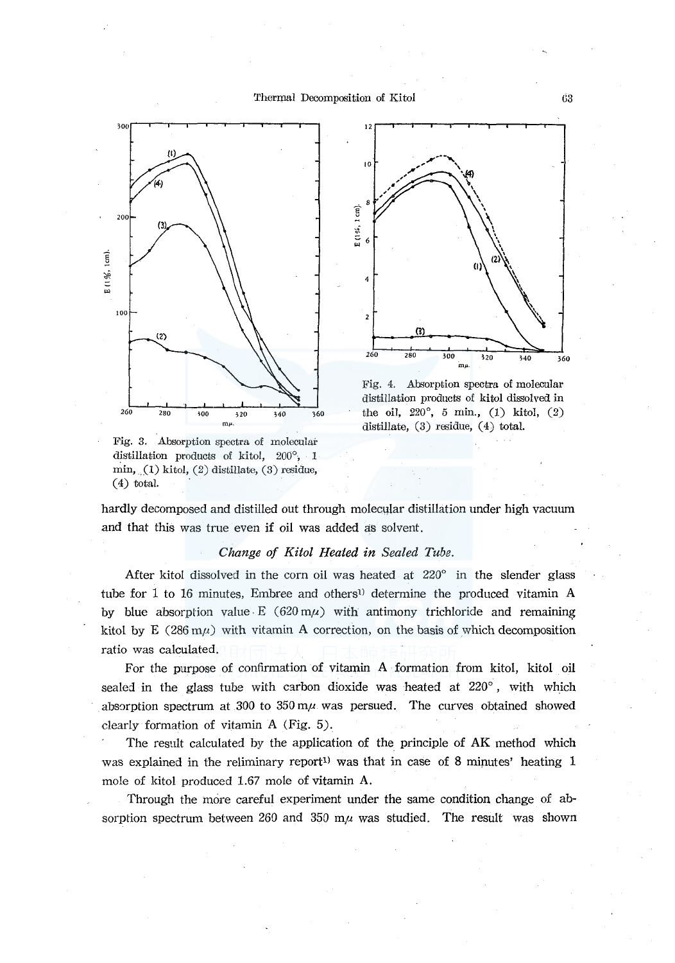



Fig. 4. Absorption spectra of molecular distillation products of kitol dissolved in the oil, *220°,* 5 min., (1) kitol, (2) distillate, (3) residue, (4) total.

Fig. 3. Absorption spectra of molecular distillation products of kitol, 200°, 1  $min, (1)$  kitol,  $(2)$  distillate,  $(3)$  residue,  $(4)$  total.

hardly decomposed and distilled out through molecular distillation under high vacuum and that this was true even if oil was added as solvent.

# *Change of Kitol Heated in Sealed Tube.*

After kitol dissolved in the corn oil was heated at 220° in the slender glass tube for 1 to 16 minutes, Embree and others<sup>1)</sup> determine the produced vitamin A by blue absorption value E (620 m $\mu$ ) with antimony trichloride and remaining kitol by E (286 m $\mu$ ) with vitamin A correction, on the basis of which decomposition ratio was calculated.

For the purpose of confirmation of vitamin A formation from kitol, kitol oil sealed in the glass tube with carbon dioxide was heated at  $220^\circ$ , with which absorption spectrum at 300 to  $350 \text{ m}\mu$  was persued. The curves obtained showed dearly formation of vitamin A (Fig. *5).* 

The result calculated by the application of the principle of AK method which was explained in the reliminary report<sup>1</sup> was that in case of 8 minutes' heating 1 mole of kitol produced 1.67 mole of vitamin A.

Through the more careful experiment under the same condition change of absorption spectrum between 260 and 350 m $\mu$  was studied. The result was shown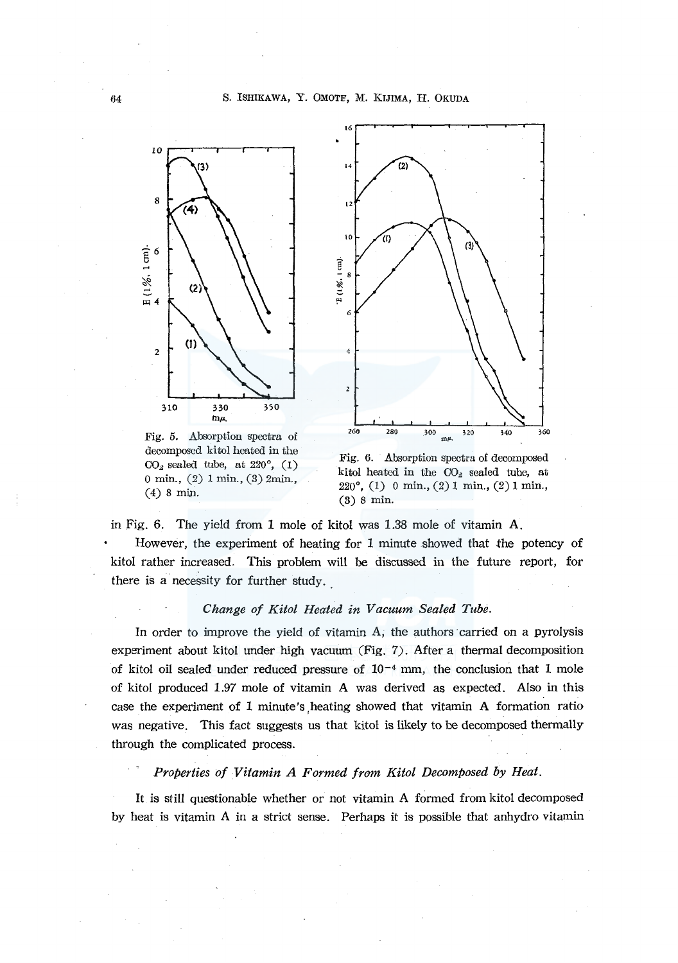

Fig. 5. Absorption spectra of decomposed kitol heated in the  $CO<sub>2</sub>$  sealed tube, at  $220^{\circ}$ , (1) O min., (2) l min., (3) 2min., (4) 8 min.



Fig. 6. Absorption spectra of decomposed kitol heated in the  $CO<sub>2</sub>$  sealed tube, at 220°, (1) 0 min., (2) I min., (2) I min., (3) 8 min.

in Fig. 6. The yield from 1 mole of kitol was 1.38 mole of vitamin A. However, the experiment of heating for 1 minute showed that the potency of kitol rather increased. This problem will be discussed in the future report, for there is a necessity for further study.

### *Change of Kitol Heated in Vacuum Sealed Tube.*

In order to improve the yield of vitamin A, the authors carried on a pyrolysis experiment about kitol under high vacuum (Fig. 7). After a thermal decomposition of kitol oil sealed under reduced pressure of  $10^{-4}$  mm, the conclusion that 1 mole of kitol produced 1.97 mole of vitamin A was derived as expected. Also in this case the experiment of 1 minute's ,heating showed that vitamin A formation ratio was negative. This fact suggests us that kitol is likely to be decomposed thermally through the complicated process.

# *Properties of Vitamin A Formed from Kitol Decomposed by Heat.*

It is still questionable whether or not vitamin A formed from kitol decomposed by heat is vitamin A in a strict sense. Perhaps it is possible that anhydro vitamin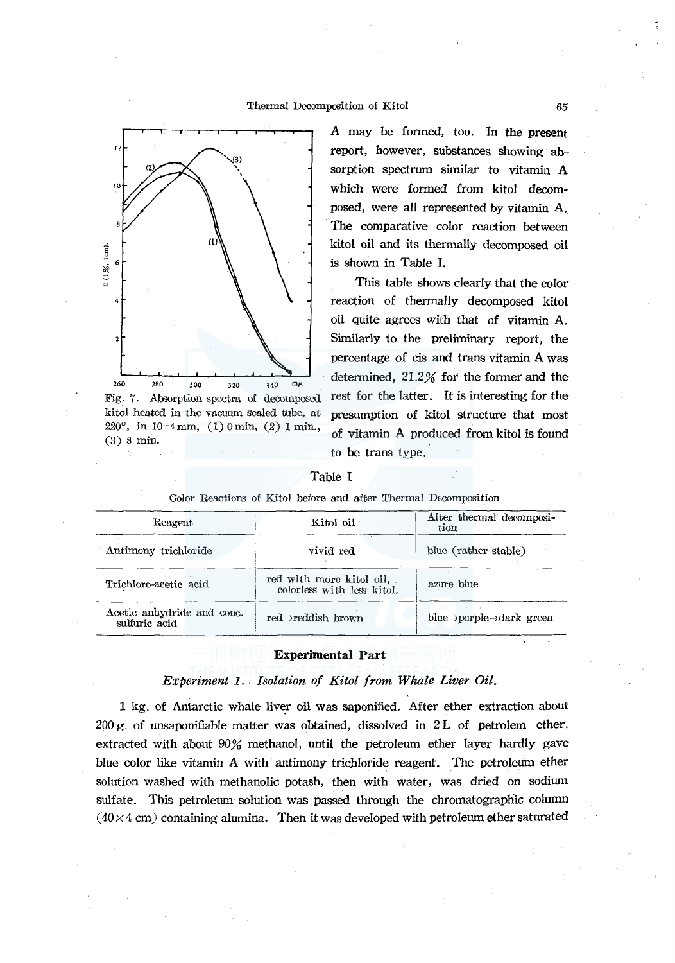

Fig. 7. Absorption spectra of decomposed kitol heated in the vacuum sealed tube, at 220°, in 10-4 mm, (1) 0 min, (2) 1 min., (3) 8 min.

A may be formed, too. In the present report, however, substances showing absorption spectrum similar to vitamin A which were formed from kitol decomposed, were all represented by vitamin A. The comparative color reaction between kitol oil and its thermally decomposed oil is shown in Table I.

This table shows clearly that the color reaction of thermally decomposed kitol oil quite agrees with that of vitamin A. Similarly to the preliminary report, the percentage of cis and trans vitamin A was determined, 21.2% for the former and the rest for the latter. It is interesting for the presumption of kitol structure that most of vitamin A produced from kitol is found to be trans type.

## Table I

| Reagent                                     | Kitol oil                                              | After thermal decomposi-<br>tion                   |  |
|---------------------------------------------|--------------------------------------------------------|----------------------------------------------------|--|
| Antimony trichloride                        | vivid red                                              | blue (rather stable)                               |  |
| Trichloro-acetic acid                       | red with more kitol oil,<br>colorless with less kitol. | azure blue                                         |  |
| Acetic anhydride and conc.<br>sulturic acid | $red\rightarrow$ reddish brown                         | blue $\rightarrow$ purple $\rightarrow$ dark green |  |

Color Reactions of Kitol before and after Thermal Decomposition

## **Experimental Part**

# *Experiment I. Isolation of Kitol from Whale Liver Oil.*

1 kg. of Antarctic whale liver oil was saponified. After ether extraction about  $200 \text{ g}$ , of unsaponifiable matter was obtained, dissolved in  $2 \text{ L}$  of petrolem ether, extracted with about 90% methanol, until the petroleum ether layer hardly gave blue color like vitamin A with antimony trichloride reagent. The petroleum ether solution washed with methanolic potash, then with water, was dried on sodium sulfate. This petroleum solution was passed through the chromatographic column  $(40 \times 4 \text{ cm})$  containing alumina. Then it was developed with petroleum ether saturated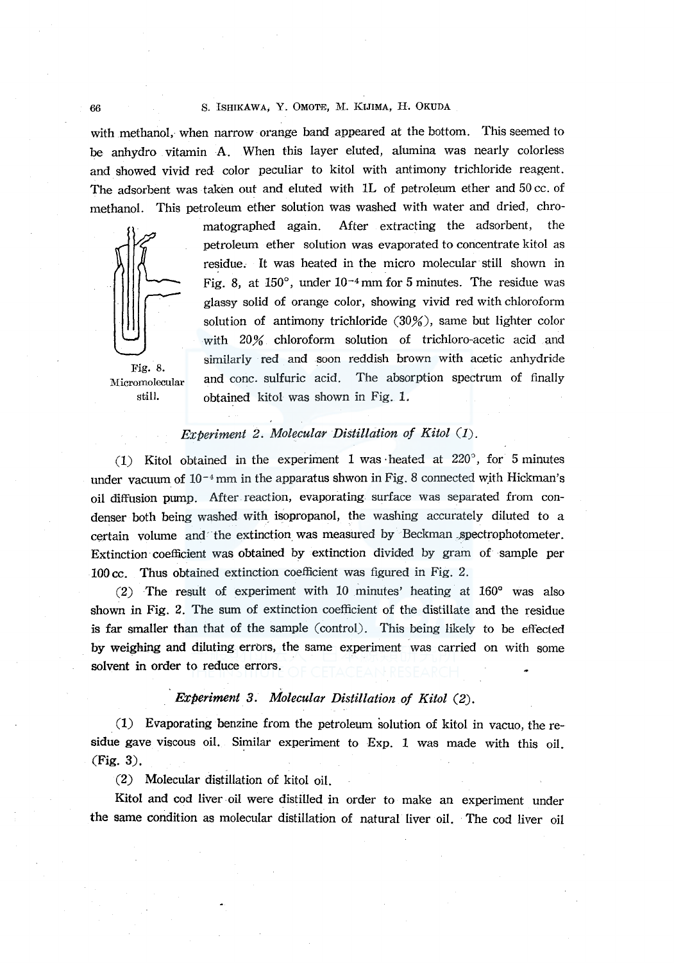## 66 S. ISHIKAWA, Y. OMOTE, M. KIJIMA, H. OKUDA

with methanol, when narrow orange band appeared at the bottom. This seemed to be anhydro vitamin A. When this layer eluted, alumina was nearly colorless and showed vivid red color peculiar to kitol with antimony trichloride reagent. The adsorbent was taken out and eluted with lL of petroleum ether and 50 cc. of methanol. This petroleum ether solution was washed with water and dried, chro-



:Micromolecular still.

matographed again. After extracting the adsorbent, the petroleum ether solution was evaporated to concentrate kitol as residue. It was heated in the micro molecular still shown in Fig. 8, at  $150^{\circ}$ , under  $10^{-4}$  mm for 5 minutes. The residue was glassy solid of orange color, showing vivid red with chloroform solution of antimony trichloride (30%), same but lighter color with 20% chloroform solution of trichloro-acetic acid and similarly red and soon reddish brown with acetic anhydride and cone. sulfuric acid. The absorption spectrum of finally obtained kitol was shown in Fig. 1.

# *Experiment 2. Molecular Distillation of Kitol (I).*

(1) Kitol obtained in the experiment 1 was heated at  $220^{\circ}$ , for 5 minutes under vacuum of  $10^{-4}$  mm in the apparatus shwon in Fig. 8 connected with Hickman's oil diffusion pump. After. reaction, evaporating surface was separated from condenser both being washed with isopropanol, the washing accurately diluted to a certain volume and the extinction was measured by Beckman spectrophotometer. Extinction· coefficient was obtained by extinction divided by gram of sample per 100 cc. Thus obtained extinction coefficient was figured in Fig. 2.

(2) The result of experiment with 10 minutes' heating at 160° was also shown in Fig. 2. The sum of extinction coefficient of the distillate and the residue is far smaller than that of the sample (control). This being likely to be effected by weighing and diluting errors, the same experiment was carried on with some solvent in order to reduce errors.

# *Experiment 3. Molecular Distillation of Kitol (2).*

(1) Evaporating benzine from the petroleum solution of kitol in vacuo, the residue gave viscous oil. Similar experiment to Exp. 1 was made with this oil. (Fig. 3).

(2) Molecular distillation of kitol oil.

Kitol and cod liver oil were distilled in order to make an experiment under the same condition as molecular distillation of natural liver oil. The cod liver oil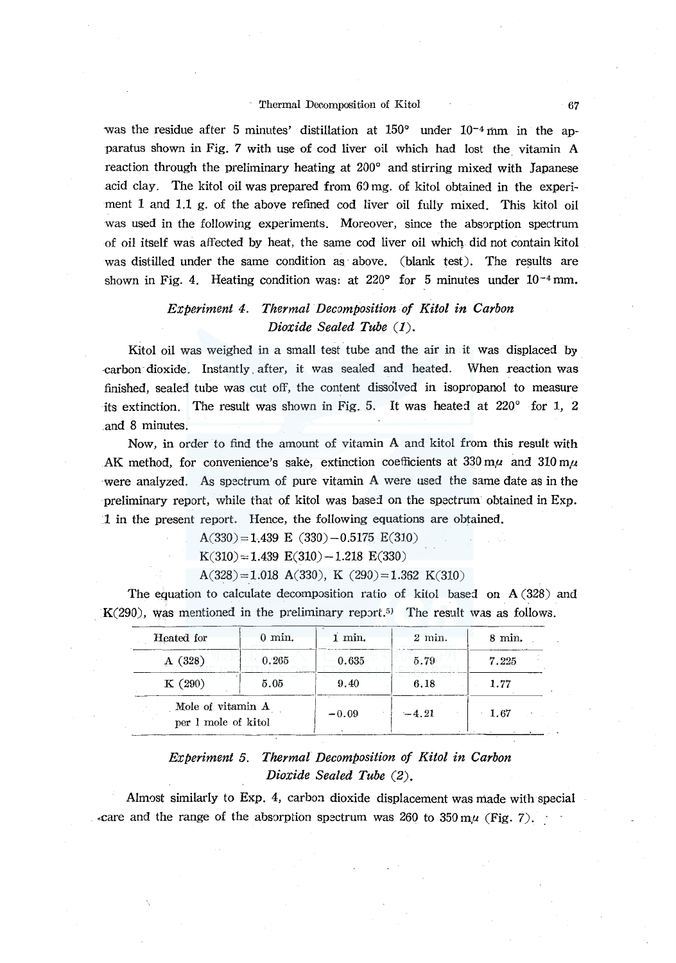# Thermal Decomposition of Kitol 67

was the residue after 5 minutes' distillation at  $150^{\circ}$  under  $10^{-4}$  mm in the apparatus shown in Fig. *7* with use of cod liver oil which had lost the. vitamin A reaction through the preliminary heating at 200° and stirring mixed with Japanese acid clay. The kitol oil was prepared from  $60 \text{ mg}$ . of kitol obtained in the experiment 1 and 1.1 g. of the above refined cod liver oil fully mixed. This kitol oil was used in the following experiments. Moreover, since the absorption spectrum of oil itself was affected by heat, the same cod liver oil which did not contain kitol was distilled under the same condition as above. (blank test). The results are shown in Fig. 4. Heating condition was: at 220 $^{\circ}$  for 5 minutes under 10<sup>-4</sup> mm.

# *Experiment 4. Thermal Decomposition of Kitol in Carbon Dioxide Sealed Tube* (1).

Kitol oil was weighed in a small test tube and the air in it was displaced by ·carbon dioxide. Instantly. after, it was sealed and heated. When reaction was finished, sealed tube was cut off, the content dissolved in isopropanol to measure its extinction. The result was shown in Fig. 5. It was heated at 220° for 1, 2 and 8 minutes.

Now, in order to find the amount of vitamin A and kitol from this result with AK method, for convenience's sake, extinction coefficients at  $330 \text{ m}\mu$  and  $310 \text{ m}\mu$ were analyzed. As spectrum of pure vitamin A were used the same date as in the preliminary report, while that of kitol was based on the spectrum obtained in Exp. 1 in the present report. Hence, the following equations are obtained.

 $A(330) = 1.439 \text{ E } (330) - 0.5175 \text{ E}(310)$ 

 $K(310) = 1.439 E(310) - 1.218 E(330)$ 

 $A(328) = 1.018 A(330), K(290) = 1.362 K(310)$ 

The equation to calculate decomposition ratio of kitol based on A (328) and  $K(290)$ , was mentioned in the preliminary report.<sup>5)</sup> The result was as follows.

| Heated for                               | $0 \text{ min.}$ | 1 min.  | $2 \text{ min.}$ | $8 \text{ min.}$ |
|------------------------------------------|------------------|---------|------------------|------------------|
| A(328)                                   | 0.265            | 0.635   | 5.79             | 7.225            |
| K(290)                                   | 5.05             | 9.40    | 6.18             | 1.77             |
| Mole of vitamin A<br>per 1 mole of kitol |                  | $-0.09$ | $-4.21$          | 1.67             |

# *Experiment 5. Thermal Decomposition of Kitol in Carbon Dioxide Sealed Tube (2).*

Almost similarly to Exp. 4, carbon dioxide displacement was made with special Exare and the range of the absorption spectrum was 260 to  $350 \text{ m}$ *u* (Fig. 7).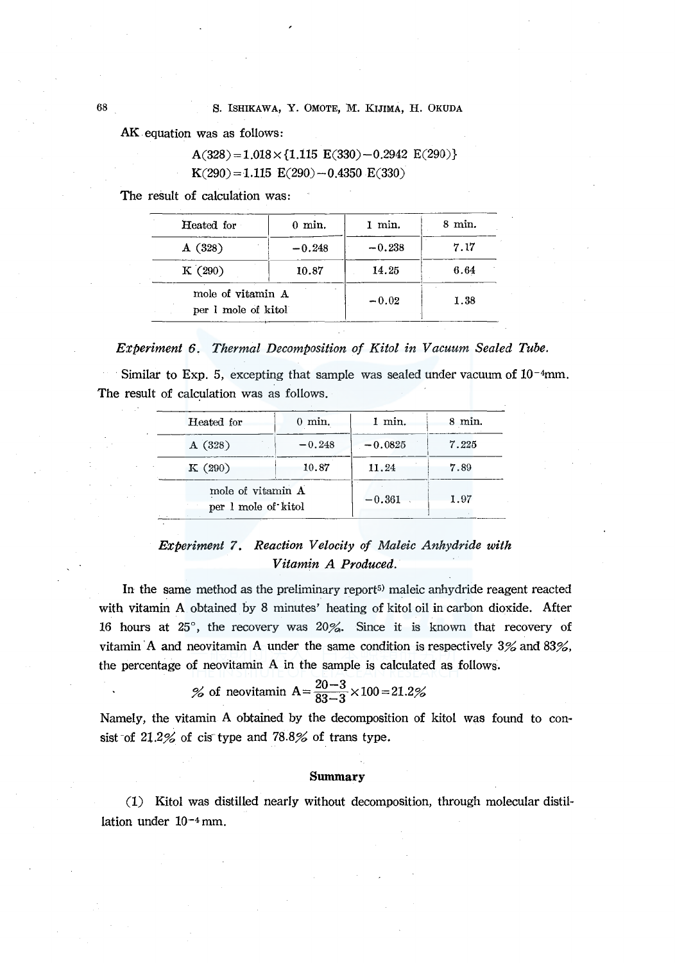AK equation was as follows:

 $A(328) = 1.018 \times \{1.115 \text{ E}(330) - 0.2942 \text{ E}(290)\}$  $K(290) = 1.115 E(290) - 0.4350 E(330)$ 

The result of calculation was:

| Heated for                               | $0 \text{ min.}$ | min.     | $8 \text{ min.}$ |
|------------------------------------------|------------------|----------|------------------|
| A(328)                                   | $-0.248$         | $-0.238$ | 7.17             |
| K(290)                                   | 10.87            | 14.25    | 6.64             |
| mole of vitamin A<br>per 1 mole of kitol |                  | $-0.02$  | 1.38             |

## *Experiment 6. Thermal Decomposition of Kitol in Vacuum Sealed Tube.*

Similar to Exp. 5, excepting that sample was sealed under vacuum of  $10^{-4}$ mm. The result of calculation was as follows.

| Heated for                               | $0 \text{ min.}$ | 1 min.    | $8$ min. |
|------------------------------------------|------------------|-----------|----------|
| A(328)                                   | $-0.248$         | $-0.0825$ | 7.225    |
| K(290)                                   | 10.87            | 11.24     | 7.89     |
| mole of vitamin A<br>per 1 mole of kitol |                  | $-0.361$  | 1.97     |

# *Experiment* 7. *Reaction Velocity of Maleic Anhydride with Vitamin A Produced.*

In the same method as the preliminary report<sup>5)</sup> maleic anhydride reagent reacted with vitamin A obtained by 8 minutes' heating of kitol oil in carbon dioxide. After 16 hours at 25°, the recovery was 20%. Since it is known that recovery of vitamin A and neovitamin A under the same condition is respectively  $3\%$  and  $83\%$ . the percentage of neovitamin A in the sample is calculated as follows.

% of newitamin A = 
$$
\frac{20-3}{83-3} \times 100 = 21.2\%
$$

Namely, the vitamin A obtained by the decomposition of kitol was found to consist of  $21.2\%$  of cis type and  $78.8\%$  of trans type.

#### **Summary**

(1) Kitol was distilled nearly without decomposition, through molecular distillation under I0-4 mm.